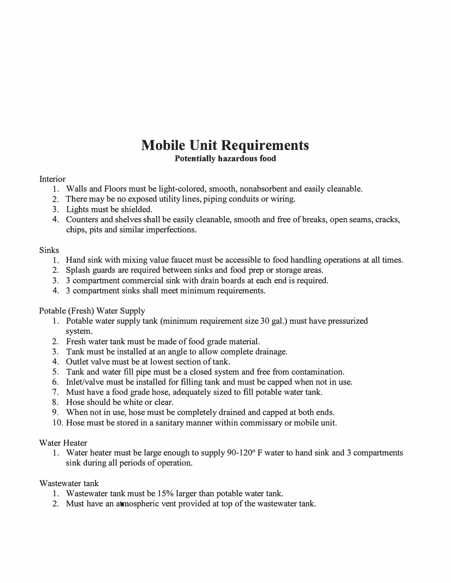# **Mobile Unit Requirements Potentially hazardous food**

#### Interior

- 1. Walls and Floors must be light-colored, smooth, nonabsorbent and easily cleanable.
- 2. There may be no exposed utility lines, piping conduits or wiring.
- 3. Lights must be shielded.
- 4. Counters and shelves shall be easily cleanable, smooth and free of breaks, open seams, cracks, chips, pits and similar imperfections.

## **Sinks**

- 1. Hand sink with mixing value faucet must be accessible to food handling operations at all times.
- 2. Splash guards are required between sinks and food prep or storage areas.
- 3. 3 compartment commercial sink with drain boards at each end is required.
- 4. 3 compartment sinks shall meet minimum requirements.

## Potable (Fresh) Water Supply

- 1. Potable water supply tank (minimum requirement size 30 gal.) must have pressurized system.
- 2. Fresh water tank must be made of food grade material.
- 3. Tank must be installed at an angle to allow complete drainage.
- 4. Outlet valve must be at lowest section of tank.
- 5. Tank and water fill pipe must be a closed system and free from contamination.
- 6. Inlet/valve must be installed for filling tank and must be capped when not in use.
- 7. Must have a food grade hose, adequately sized to fill potable water tank.
- 8. Hose should be white or clear.
- 9. When not in use, hose must be completely drained and capped at both ends.
- 10. Hose must be stored in a sanitary manner within commissary or mobile unit.

#### Water Heater

1. Water heater must be large enough to supply 90-120° F water to hand sink and 3 compartments sink during all periods of operation.

#### Wastewater tank

- 1. Wastewater tank must be 15% larger than potable water tank.
- 2. Must have an atmospheric vent provided at top of the wastewater tank.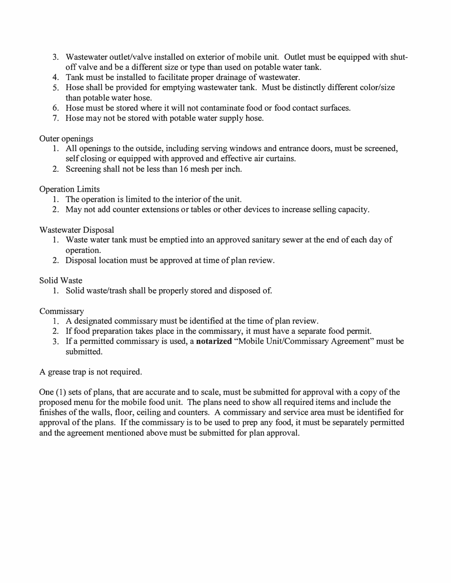- 3. Wastewater outlet/valve installed on exterior of mobile unit. Outlet must be equipped with shutoff valve and be a different size or type than used on potable water tank.
- 4. Tank must be installed to facilitate proper drainage of wastewater.
- 5. Hose shall be provided for emptying wastewater tank. Must be distinctly different color/size than potable water hose.
- 6. Hose must be stored where it will not contaminate food or food contact surfaces.
- 7. Hose may not be stored with potable water supply hose.

### Outer openings

- 1. All openings to the outside, including serving windows and entrance doors, must be screened, self closing or equipped with approved and effective air curtains.
- 2. Screening shall not be less than 16 mesh per inch.

## Operation Limits

- 1. The operation is limited to the interior of the unit.
- 2. May not add counter extensions or tables or other devices to increase selling capacity.

# Wastewater Disposal

- 1. Waste water tank must be emptied into an approved sanitary sewer at the end of each day of operation.
- 2. Disposal location must be approved at time of plan review.

## Solid Waste

1. Solid waste/trash shall be properly stored and disposed of.

# **Commissary**

- 1. A designated commissary must be identified at the time of plan review.
- 2. If food preparation takes place in the commissary, it must have a separate food permit.
- 3. If a permitted commissary is used, a **notarized** "Mobile Unit/Commissary Agreement" must be submitted.

A grease trap is not required.

One (1) sets of plans, that are accurate and to scale, must be submitted for approval with a copy of the proposed menu for the mobile food unit. The plans need to show all required items and include the finishes of the walls, floor, ceiling and counters. A commissary and service area must be identified for approval of the plans. If the commissary is to be used to prep any food, it must be separately permitted and the agreement mentioned above must be submitted for plan approval.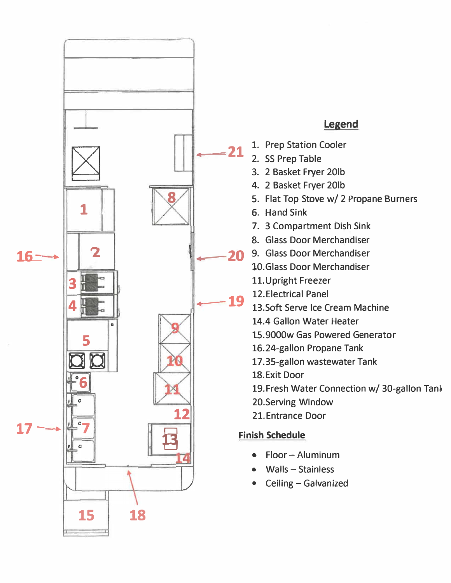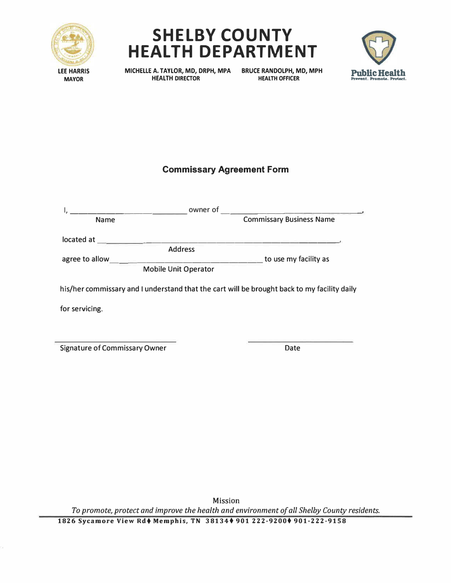





**MAYOR** 

**MICHELLE A. TAYLOR, MD, DRPH, MPA BRUCE RANDOLPH, MD, MPH HEALTH DIRECTOR** 

# **Commissary Agreement Form**

|                             | owner of                                                                                    |
|-----------------------------|---------------------------------------------------------------------------------------------|
| <b>Name</b>                 | <b>Commissary Business Name</b>                                                             |
| located at                  |                                                                                             |
| <b>Address</b>              |                                                                                             |
| agree to allow              | to use my facility as                                                                       |
| <b>Mobile Unit Operator</b> |                                                                                             |
|                             | his/her commissary and I understand that the cart will be brought back to my facility daily |
| for servicing.              |                                                                                             |
|                             |                                                                                             |
|                             |                                                                                             |

Signature of Commissary Owner **Date** Date

Mission *To promote, protect and improve the health and environment of all Shelby County residents.* 

**1826 Sycamore View Rd♦ Memphis, TN 38134♦ 901 222-9200♦ 901-222-9158**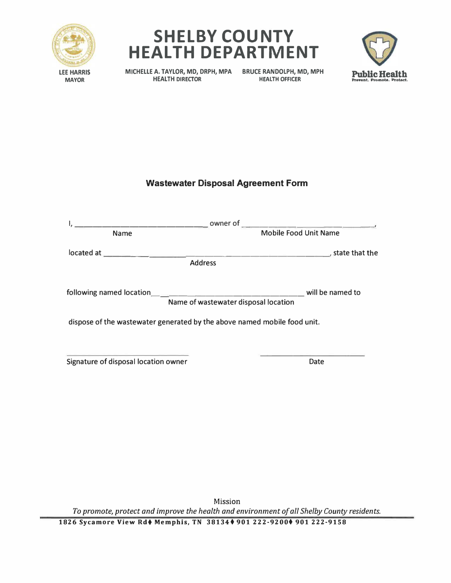





**MICHELLE A. TAYLOR, MD, DRPH, MPA BRUCE RANDOLPH, MD, MPH** 

**HEALTH OFFICER** 

# **Wastewater Disposal Agreement Form**

| owner of<br>and the company of the                                       | the control of the control of the control of the         |  |
|--------------------------------------------------------------------------|----------------------------------------------------------|--|
| <b>Name</b>                                                              | <b>Mobile Food Unit Name</b>                             |  |
| <b>Address</b>                                                           |                                                          |  |
|                                                                          | will be named to<br>Name of wastewater disposal location |  |
| dispose of the wastewater generated by the above named mobile food unit. |                                                          |  |
| Signature of disposal location owner                                     | Date                                                     |  |

Mission *To promote, protect and improve the health and environment of all Shelby County residents.* 

**1826 Sycamore View Rd**♦ **Memphis, TN 38134** ♦ **901 222-9200**♦ **901 222-9158**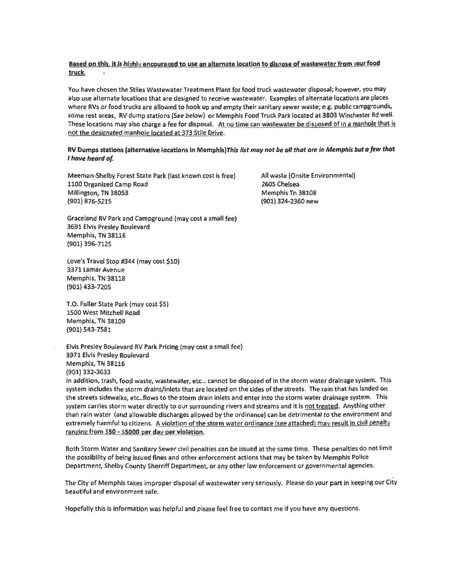#### Based on this, it is highly encouraged to use an alternate location to dispose of wastewater from your food truck.

You have chosen the Stiles Wastewater Treatment Plant for food truck wastewater disposal; however, you may also use alternate locations that are designed to receive wastewater. Examples of alternate locations are places where RVs or food trucks are allowed to hook up and empty their sanitary sewer waste; e.g. public campgrounds, some rest areas, RV dump stations (See below) or Memphis Food Truck Park located at 3803 Winchester Rd well. These locations may also charge a fee for disposal. At no time can wastewater be disposed of in a manhole that is not the designated manhole located at 373 Stile Drive.

#### RV Dumps stations (alternative locations in Memphis)This list may not be all that are in Memphis but a few that I have heard of.

Meeman-Shelby Forest State Park (last known cost is free) 1100 Organized Camp Road Millington, TN 38053 (901) 876-5215

All waste (Onsite Environmental) 2605 Chelsea Memphis Tn 38108 (901) 324-2360 new

Graceland RV Park and Campground (may cost a small fee) 3691 Elvis Presley Boulevard Memphis, TN 38116 (901) 396-7125

Love's Travel Stop #344 (may cost \$10) 3371 Lamar Avenue Memphis, TN 38118 (901) 433-7205

T.O. Fuller State Park (may cost \$5) 1500 West Mitchell Road Memphis, TN 38109 (901) 543-7581

Elvis Presley Boulevard RV Park Pricing (may cost a small fee) 3971 Elvis Presley Boulevard Memphis, TN 38116 (901) 332-3633 In addition, trash, food waste, wastewater, etc... cannot be disposed of in the storm water drainage system. This

system includes the storm drains/inlets that are located on the sides of the streets. The rain that has landed on the streets sidewalks, etc..flows to the storm drain inlets and enter into the storm water drainage system. This system carries storm water directly to our surrounding rivers and streams and it is not treated. Anything other than rain water (and allowable discharges allowed by the ordinance) can be detrimental to the environment and extremely harmful to citizens. A violation of the storm water ordinance (see attached) may result in civil penalty ranging from \$50 - \$5000 per day per violation.

Both Storm Water and Sanitary Sewer civil penalties can be issued at the same time. These penalties do not limit the possibility of being issued fines and other enforcement actions that may be taken by Memphis Police Department, Shelby County Sherriff Department, or any other law enforcement or governmental agencies.

The City of Memphis takes improper disposal of wastewater very seriously. Please do your part in keeping our City beautiful and environment safe.

Hopefully this is information was helpful and please feel free to contact me if you have any questions.